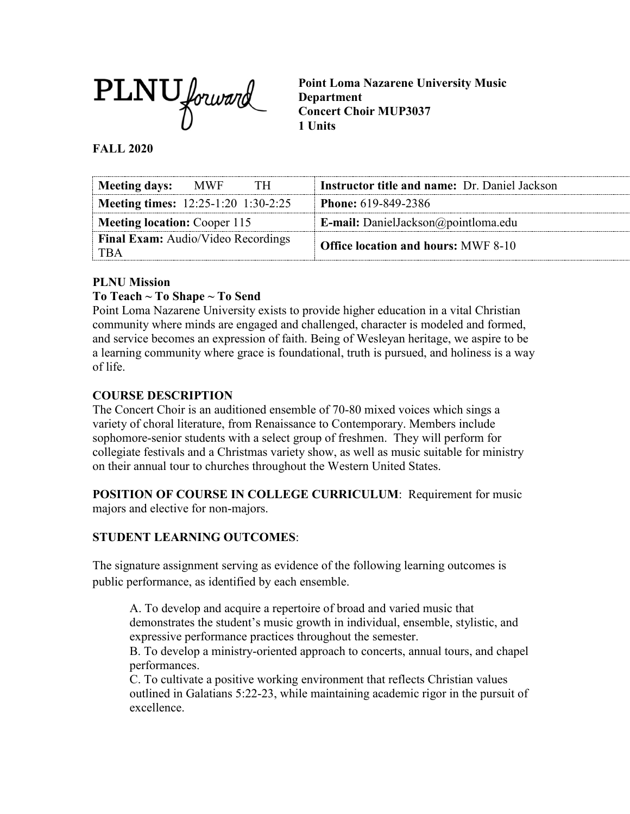

**Point Loma Nazarene University Music Department Concert Choir MUP3037 1 Units**

#### **FALL 2020**

| Meeting days: MWF<br>TH.                         | <b>Instructor title and name: Dr. Daniel Jackson</b> |
|--------------------------------------------------|------------------------------------------------------|
| <b>Meeting times:</b> 12:25-1:20 1:30-2:25       | <b>Phone:</b> 619-849-2386                           |
| <b>Meeting location:</b> Cooper 115              | <b>E-mail:</b> DanielJackson@pointloma.edu           |
| <b>Final Exam:</b> Audio/Video Recordings<br>TBA | <b>Office location and hours: MWF 8-10</b>           |

### **PLNU Mission**

### **To Teach ~ To Shape ~ To Send**

Point Loma Nazarene University exists to provide higher education in a vital Christian community where minds are engaged and challenged, character is modeled and formed, and service becomes an expression of faith. Being of Wesleyan heritage, we aspire to be a learning community where grace is foundational, truth is pursued, and holiness is a way of life.

### **COURSE DESCRIPTION**

The Concert Choir is an auditioned ensemble of 70-80 mixed voices which sings a variety of choral literature, from Renaissance to Contemporary. Members include sophomore-senior students with a select group of freshmen. They will perform for collegiate festivals and a Christmas variety show, as well as music suitable for ministry on their annual tour to churches throughout the Western United States.

**POSITION OF COURSE IN COLLEGE CURRICULUM**: Requirement for music majors and elective for non-majors.

### **STUDENT LEARNING OUTCOMES**:

The signature assignment serving as evidence of the following learning outcomes is public performance, as identified by each ensemble.

A. To develop and acquire a repertoire of broad and varied music that demonstrates the student's music growth in individual, ensemble, stylistic, and expressive performance practices throughout the semester.

B. To develop a ministry-oriented approach to concerts, annual tours, and chapel performances.

C. To cultivate a positive working environment that reflects Christian values outlined in Galatians 5:22-23, while maintaining academic rigor in the pursuit of excellence.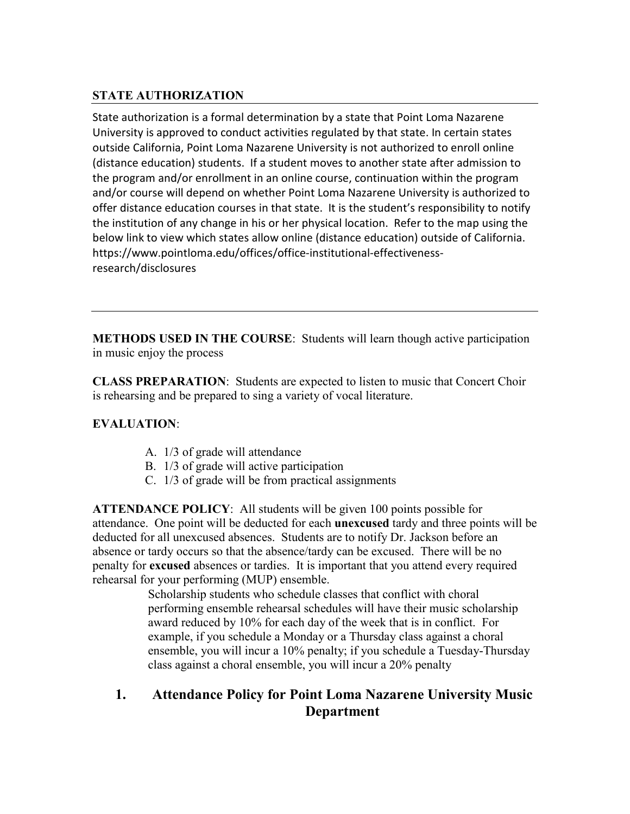### **STATE AUTHORIZATION**

State authorization is a formal determination by a state that Point Loma Nazarene University is approved to conduct activities regulated by that state. In certain states outside California, Point Loma Nazarene University is not authorized to enroll online (distance education) students. If a student moves to another state after admission to the program and/or enrollment in an online course, continuation within the program and/or course will depend on whether Point Loma Nazarene University is authorized to offer distance education courses in that state. It is the student's responsibility to notify the institution of any change in his or her physical location. Refer to the map using the below link to view which states allow online (distance education) outside of California. [https://www.pointloma.edu/offices/office-institutional-effectiveness](https://www.pointloma.edu/offices/office-institutional-effectiveness-research/disclosures)[research/disclosures](https://www.pointloma.edu/offices/office-institutional-effectiveness-research/disclosures)

**METHODS USED IN THE COURSE**: Students will learn though active participation in music enjoy the process

**CLASS PREPARATION**: Students are expected to listen to music that Concert Choir is rehearsing and be prepared to sing a variety of vocal literature.

### **EVALUATION**:

- A. 1/3 of grade will attendance
- B. 1/3 of grade will active participation
- C. 1/3 of grade will be from practical assignments

**ATTENDANCE POLICY**: All students will be given 100 points possible for attendance. One point will be deducted for each **unexcused** tardy and three points will be deducted for all unexcused absences. Students are to notify Dr. Jackson before an absence or tardy occurs so that the absence/tardy can be excused. There will be no penalty for **excused** absences or tardies. It is important that you attend every required rehearsal for your performing (MUP) ensemble.

> Scholarship students who schedule classes that conflict with choral performing ensemble rehearsal schedules will have their music scholarship award reduced by 10% for each day of the week that is in conflict. For example, if you schedule a Monday or a Thursday class against a choral ensemble, you will incur a 10% penalty; if you schedule a Tuesday-Thursday class against a choral ensemble, you will incur a 20% penalty

### **1. Attendance Policy for Point Loma Nazarene University Music Department**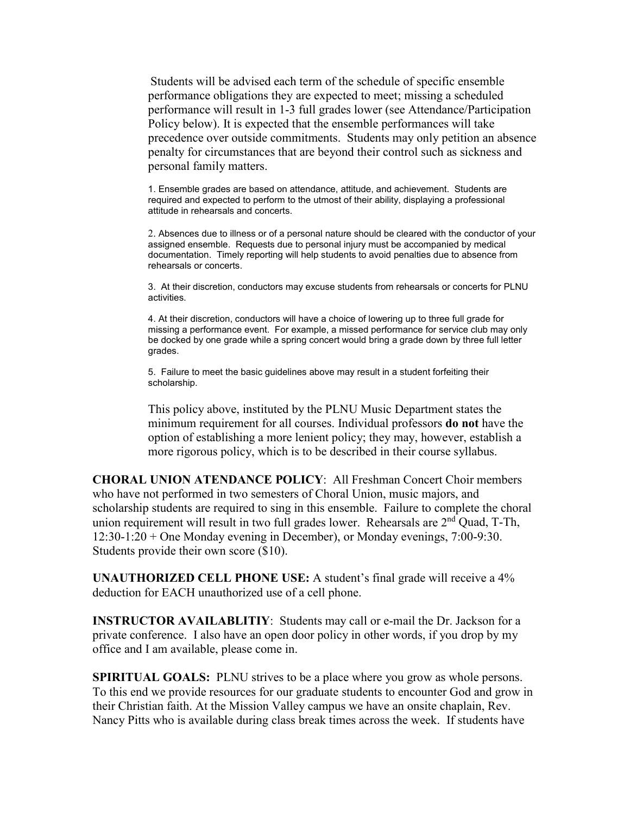Students will be advised each term of the schedule of specific ensemble performance obligations they are expected to meet; missing a scheduled performance will result in 1-3 full grades lower (see Attendance/Participation Policy below). It is expected that the ensemble performances will take precedence over outside commitments. Students may only petition an absence penalty for circumstances that are beyond their control such as sickness and personal family matters.

1. Ensemble grades are based on attendance, attitude, and achievement. Students are required and expected to perform to the utmost of their ability, displaying a professional attitude in rehearsals and concerts.

2. Absences due to illness or of a personal nature should be cleared with the conductor of your assigned ensemble. Requests due to personal injury must be accompanied by medical documentation. Timely reporting will help students to avoid penalties due to absence from rehearsals or concerts.

3. At their discretion, conductors may excuse students from rehearsals or concerts for PLNU activities.

4. At their discretion, conductors will have a choice of lowering up to three full grade for missing a performance event. For example, a missed performance for service club may only be docked by one grade while a spring concert would bring a grade down by three full letter grades.

5. Failure to meet the basic guidelines above may result in a student forfeiting their scholarship.

This policy above, instituted by the PLNU Music Department states the minimum requirement for all courses. Individual professors **do not** have the option of establishing a more lenient policy; they may, however, establish a more rigorous policy, which is to be described in their course syllabus.

**CHORAL UNION ATENDANCE POLICY**: All Freshman Concert Choir members who have not performed in two semesters of Choral Union, music majors, and scholarship students are required to sing in this ensemble. Failure to complete the choral union requirement will result in two full grades lower. Rehearsals are 2<sup>nd</sup> Quad, T-Th, 12:30-1:20 + One Monday evening in December), or Monday evenings, 7:00-9:30. Students provide their own score (\$10).

**UNAUTHORIZED CELL PHONE USE:** A student's final grade will receive a 4% deduction for EACH unauthorized use of a cell phone.

**INSTRUCTOR AVAILABLITIY**: Students may call or e-mail the Dr. Jackson for a private conference. I also have an open door policy in other words, if you drop by my office and I am available, please come in.

**SPIRITUAL GOALS:** PLNU strives to be a place where you grow as whole persons. To this end we provide resources for our graduate students to encounter God and grow in their Christian faith. At the Mission Valley campus we have an onsite chaplain, Rev. Nancy Pitts who is available during class break times across the week. If students have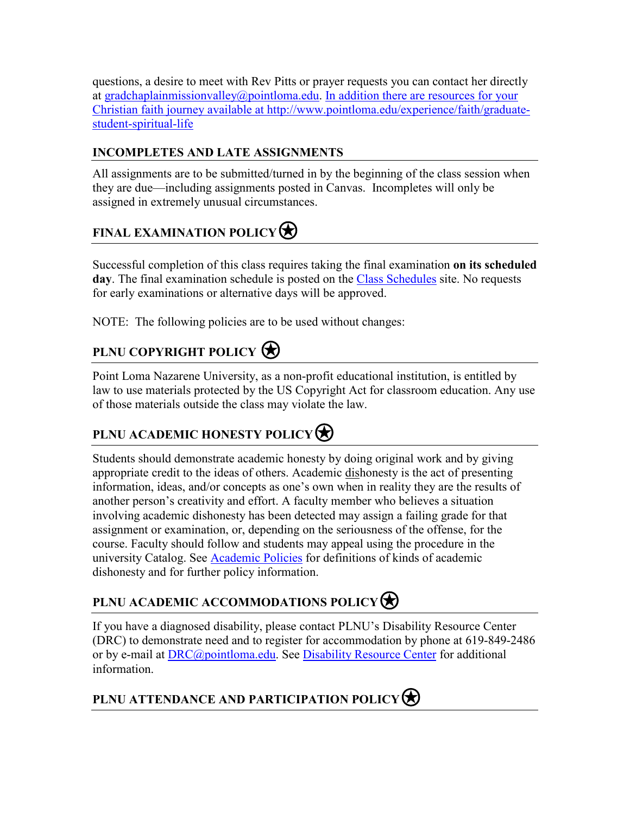questions, a desire to meet with Rev Pitts or prayer requests you can contact her directly at [gradchaplainmissionvalley@pointloma.edu.](mailto:gradchaplainmissionvalley@pointloma.edu) In addition there are resources for your Christian faith journey available at [http://www.pointloma.edu/experience/faith/graduate](mailto:gradchaplainmissionvalley@pointloma.edu.%20%20%0dIn%20addition%20there%20are%20resources%20for%20your%20Christian%20faith%20journey%20are%20available%20at%20http://www.pointloma.edu/SpiritualDevelopment/Graduate_Students.htm.%0b)[student-spiritual-life](mailto:gradchaplainmissionvalley@pointloma.edu.%20%20%0dIn%20addition%20there%20are%20resources%20for%20your%20Christian%20faith%20journey%20are%20available%20at%20http://www.pointloma.edu/SpiritualDevelopment/Graduate_Students.htm.%0b)

### **INCOMPLETES AND LATE ASSIGNMENTS**

All assignments are to be submitted/turned in by the beginning of the class session when they are due—including assignments posted in Canvas. Incompletes will only be assigned in extremely unusual circumstances.

# **FINAL EXAMINATION POLICY**

Successful completion of this class requires taking the final examination **on its scheduled**  day. The final examination schedule is posted on the [Class Schedules](http://www.pointloma.edu/experience/academics/class-schedules) site. No requests for early examinations or alternative days will be approved.

NOTE: The following policies are to be used without changes:

# **PLNU COPYRIGHT POLICY**

Point Loma Nazarene University, as a non-profit educational institution, is entitled by law to use materials protected by the US Copyright Act for classroom education. Any use of those materials outside the class may violate the law.

# **PLNU ACADEMIC HONESTY POLICY**

Students should demonstrate academic honesty by doing original work and by giving appropriate credit to the ideas of others. Academic dishonesty is the act of presenting information, ideas, and/or concepts as one's own when in reality they are the results of another person's creativity and effort. A faculty member who believes a situation involving academic dishonesty has been detected may assign a failing grade for that assignment or examination, or, depending on the seriousness of the offense, for the course. Faculty should follow and students may appeal using the procedure in the university Catalog. See **Academic Policies** for definitions of kinds of academic dishonesty and for further policy information.

# **PLNU ACADEMIC ACCOMMODATIONS POLICY**

If you have a diagnosed disability, please contact PLNU's Disability Resource Center (DRC) to demonstrate need and to register for accommodation by phone at 619-849-2486 or by e-mail at [DRC@pointloma.edu.](mailto:DRC@pointloma.edu) See [Disability Resource Center](http://www.pointloma.edu/experience/offices/administrative-offices/academic-advising-office/disability-resource-center) for additional information.

# **PLNU ATTENDANCE AND PARTICIPATION POLICY**